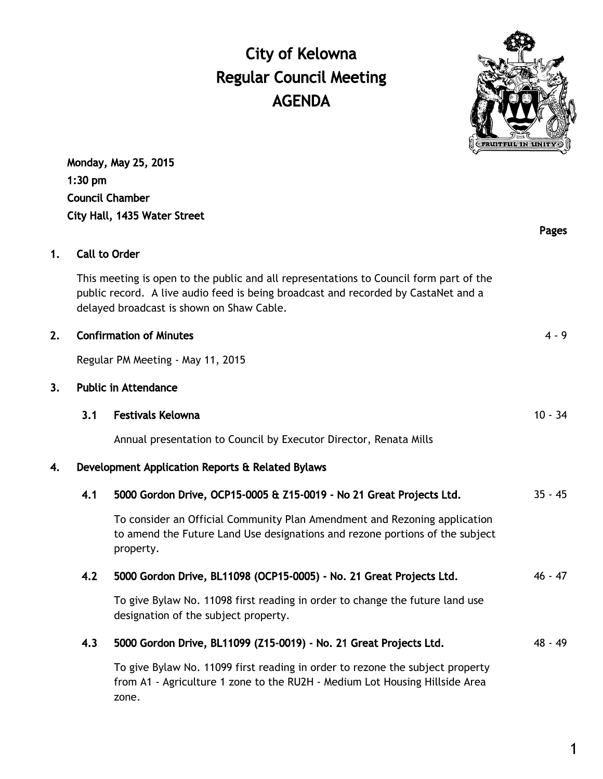# City of Kelowna Regular Council Meeting AGENDA



Pages

Monday, May 25, 2015 1:30 pm Council Chamber City Hall, 1435 Water Street

# 1. Call to Order

This meeting is open to the public and all representations to Council form part of the public record. A live audio feed is being broadcast and recorded by CastaNet and a delayed broadcast is shown on Shaw Cable.

#### 2. Confirmation of Minutes **4 - 9**  $\overline{a}$  4 - 9

Regular PM Meeting - May 11, 2015

#### 3. Public in Attendance

#### 3.1 Festivals Kelowna 10 - 34

Annual presentation to Council by Executor Director, Renata Mills

# 4. Development Application Reports & Related Bylaws

| 4.1 | 5000 Gordon Drive, OCP15-0005 & Z15-0019 - No 21 Great Projects Ltd.                                                                                                   | $35 - 45$ |
|-----|------------------------------------------------------------------------------------------------------------------------------------------------------------------------|-----------|
|     | To consider an Official Community Plan Amendment and Rezoning application<br>to amend the Future Land Use designations and rezone portions of the subject<br>property. |           |
| 4.2 | 5000 Gordon Drive, BL11098 (OCP15-0005) - No. 21 Great Projects Ltd.                                                                                                   | $46 - 47$ |
|     | To give Bylaw No. 11098 first reading in order to change the future land use<br>designation of the subject property.                                                   |           |
| 4.3 | 5000 Gordon Drive, BL11099 (Z15-0019) - No. 21 Great Projects Ltd.                                                                                                     | $48 - 49$ |
|     | To give Bylaw No. 11099 first reading in order to rezone the subject property<br>from A1 - Agriculture 1 zone to the RU2H - Medium Lot Housing Hillside Area<br>zone.  |           |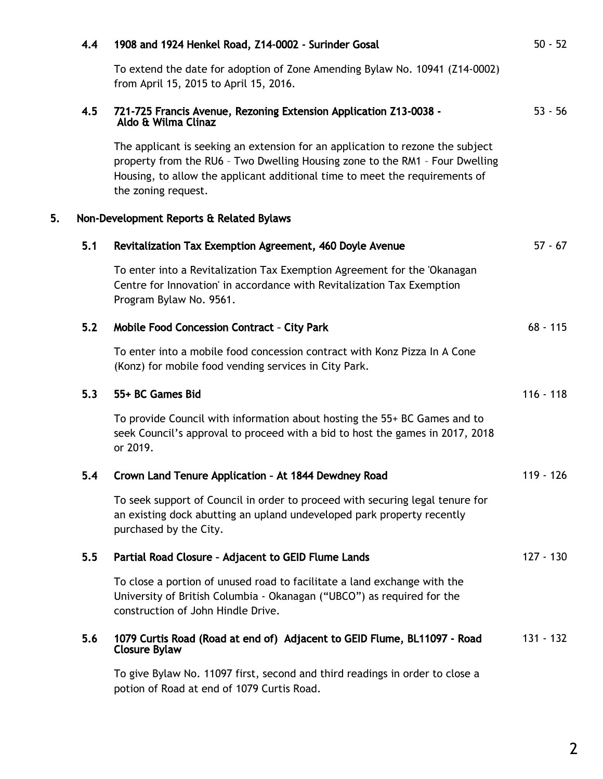|    | 4.4 | 1908 and 1924 Henkel Road, Z14-0002 - Surinder Gosal                                                                                                                                                                                                                 | $50 - 52$   |
|----|-----|----------------------------------------------------------------------------------------------------------------------------------------------------------------------------------------------------------------------------------------------------------------------|-------------|
|    |     | To extend the date for adoption of Zone Amending Bylaw No. 10941 (Z14-0002)<br>from April 15, 2015 to April 15, 2016.                                                                                                                                                |             |
|    | 4.5 | 721-725 Francis Avenue, Rezoning Extension Application Z13-0038 -<br>Aldo & Wilma Clinaz                                                                                                                                                                             | $53 - 56$   |
|    |     | The applicant is seeking an extension for an application to rezone the subject<br>property from the RU6 - Two Dwelling Housing zone to the RM1 - Four Dwelling<br>Housing, to allow the applicant additional time to meet the requirements of<br>the zoning request. |             |
| 5. |     | Non-Development Reports & Related Bylaws                                                                                                                                                                                                                             |             |
|    | 5.1 | Revitalization Tax Exemption Agreement, 460 Doyle Avenue                                                                                                                                                                                                             | $57 - 67$   |
|    |     | To enter into a Revitalization Tax Exemption Agreement for the 'Okanagan<br>Centre for Innovation' in accordance with Revitalization Tax Exemption<br>Program Bylaw No. 9561.                                                                                        |             |
|    | 5.2 | <b>Mobile Food Concession Contract - City Park</b>                                                                                                                                                                                                                   | $68 - 115$  |
|    |     | To enter into a mobile food concession contract with Konz Pizza In A Cone<br>(Konz) for mobile food vending services in City Park.                                                                                                                                   |             |
|    | 5.3 | 55+ BC Games Bid                                                                                                                                                                                                                                                     | $116 - 118$ |
|    |     | To provide Council with information about hosting the 55+ BC Games and to<br>seek Council's approval to proceed with a bid to host the games in 2017, 2018<br>or 2019.                                                                                               |             |
|    | 5.4 | Crown Land Tenure Application - At 1844 Dewdney Road                                                                                                                                                                                                                 | 119 - 126   |
|    |     | To seek support of Council in order to proceed with securing legal tenure for<br>an existing dock abutting an upland undeveloped park property recently<br>purchased by the City.                                                                                    |             |
|    | 5.5 | Partial Road Closure - Adjacent to GEID Flume Lands                                                                                                                                                                                                                  | $127 - 130$ |
|    |     | To close a portion of unused road to facilitate a land exchange with the<br>University of British Columbia - Okanagan ("UBCO") as required for the<br>construction of John Hindle Drive.                                                                             |             |
|    | 5.6 | 1079 Curtis Road (Road at end of) Adjacent to GEID Flume, BL11097 - Road<br><b>Closure Bylaw</b>                                                                                                                                                                     | $131 - 132$ |
|    |     | To give Bylaw No. 11097 first, second and third readings in order to close a<br>potion of Road at end of 1079 Curtis Road.                                                                                                                                           |             |
|    |     |                                                                                                                                                                                                                                                                      |             |